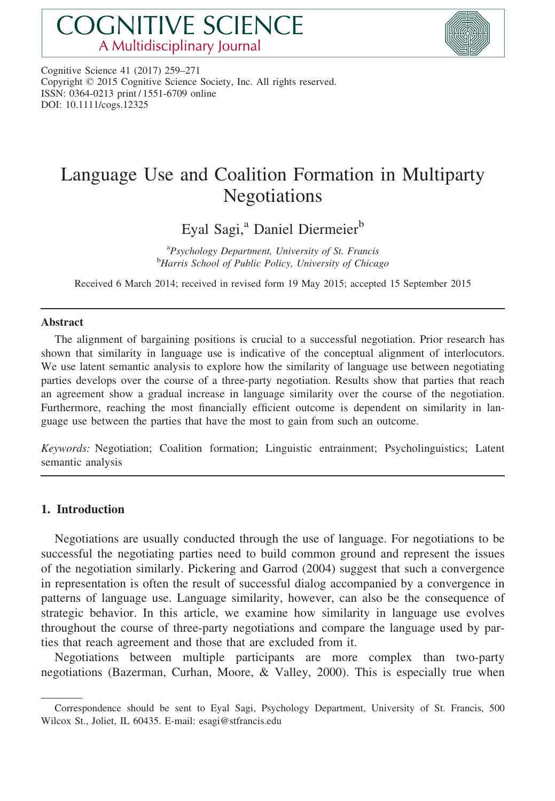# **COGNITIVE SCIENCE** A Multidisciplinary Journal



Cognitive Science 41 (2017) 259–271 Copyright © 2015 Cognitive Science Society, Inc. All rights reserved. ISSN: 0364-0213 print / 1551-6709 online DOI: 10.1111/cogs.12325

## Language Use and Coalition Formation in Multiparty Negotiations

Eyal Sagi,<sup>a</sup> Daniel Diermeier<sup>b</sup>

<sup>a</sup> Psychology Department, University of St. Francis<sup>b</sup> Harris School of Public Policy University of Chica <sup>b</sup>Harris School of Public Policy, University of Chicago

Received 6 March 2014; received in revised form 19 May 2015; accepted 15 September 2015

#### Abstract

The alignment of bargaining positions is crucial to a successful negotiation. Prior research has shown that similarity in language use is indicative of the conceptual alignment of interlocutors. We use latent semantic analysis to explore how the similarity of language use between negotiating parties develops over the course of a three-party negotiation. Results show that parties that reach an agreement show a gradual increase in language similarity over the course of the negotiation. Furthermore, reaching the most financially efficient outcome is dependent on similarity in language use between the parties that have the most to gain from such an outcome.

Keywords: Negotiation; Coalition formation; Linguistic entrainment; Psycholinguistics; Latent semantic analysis

## 1. Introduction

Negotiations are usually conducted through the use of language. For negotiations to be successful the negotiating parties need to build common ground and represent the issues of the negotiation similarly. Pickering and Garrod (2004) suggest that such a convergence in representation is often the result of successful dialog accompanied by a convergence in patterns of language use. Language similarity, however, can also be the consequence of strategic behavior. In this article, we examine how similarity in language use evolves throughout the course of three-party negotiations and compare the language used by parties that reach agreement and those that are excluded from it.

Negotiations between multiple participants are more complex than two-party negotiations (Bazerman, Curhan, Moore, & Valley, 2000). This is especially true when

Correspondence should be sent to Eyal Sagi, Psychology Department, University of St. Francis, 500 Wilcox St., Joliet, IL 60435. E-mail: esagi@stfrancis.edu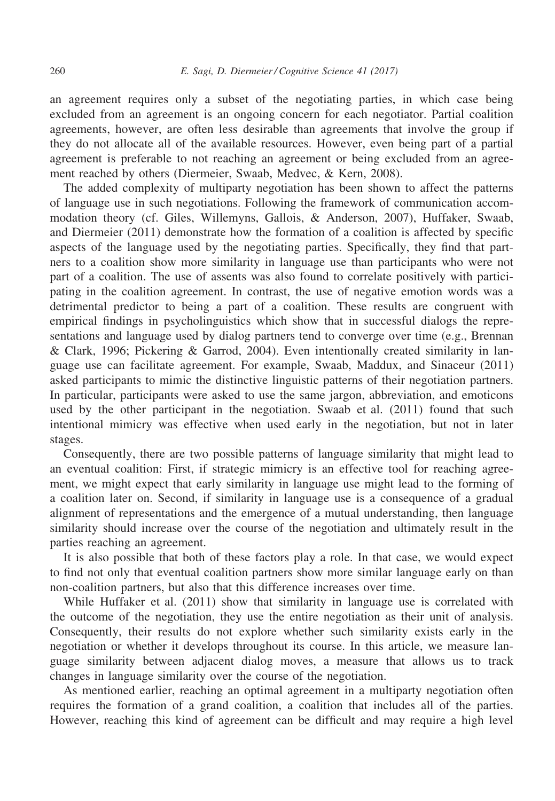an agreement requires only a subset of the negotiating parties, in which case being excluded from an agreement is an ongoing concern for each negotiator. Partial coalition agreements, however, are often less desirable than agreements that involve the group if they do not allocate all of the available resources. However, even being part of a partial agreement is preferable to not reaching an agreement or being excluded from an agreement reached by others (Diermeier, Swaab, Medvec, & Kern, 2008).

The added complexity of multiparty negotiation has been shown to affect the patterns of language use in such negotiations. Following the framework of communication accommodation theory (cf. Giles, Willemyns, Gallois, & Anderson, 2007), Huffaker, Swaab, and Diermeier (2011) demonstrate how the formation of a coalition is affected by specific aspects of the language used by the negotiating parties. Specifically, they find that partners to a coalition show more similarity in language use than participants who were not part of a coalition. The use of assents was also found to correlate positively with participating in the coalition agreement. In contrast, the use of negative emotion words was a detrimental predictor to being a part of a coalition. These results are congruent with empirical findings in psycholinguistics which show that in successful dialogs the representations and language used by dialog partners tend to converge over time (e.g., Brennan & Clark, 1996; Pickering & Garrod, 2004). Even intentionally created similarity in language use can facilitate agreement. For example, Swaab, Maddux, and Sinaceur (2011) asked participants to mimic the distinctive linguistic patterns of their negotiation partners. In particular, participants were asked to use the same jargon, abbreviation, and emoticons used by the other participant in the negotiation. Swaab et al. (2011) found that such intentional mimicry was effective when used early in the negotiation, but not in later stages.

Consequently, there are two possible patterns of language similarity that might lead to an eventual coalition: First, if strategic mimicry is an effective tool for reaching agreement, we might expect that early similarity in language use might lead to the forming of a coalition later on. Second, if similarity in language use is a consequence of a gradual alignment of representations and the emergence of a mutual understanding, then language similarity should increase over the course of the negotiation and ultimately result in the parties reaching an agreement.

It is also possible that both of these factors play a role. In that case, we would expect to find not only that eventual coalition partners show more similar language early on than non-coalition partners, but also that this difference increases over time.

While Huffaker et al. (2011) show that similarity in language use is correlated with the outcome of the negotiation, they use the entire negotiation as their unit of analysis. Consequently, their results do not explore whether such similarity exists early in the negotiation or whether it develops throughout its course. In this article, we measure language similarity between adjacent dialog moves, a measure that allows us to track changes in language similarity over the course of the negotiation.

As mentioned earlier, reaching an optimal agreement in a multiparty negotiation often requires the formation of a grand coalition, a coalition that includes all of the parties. However, reaching this kind of agreement can be difficult and may require a high level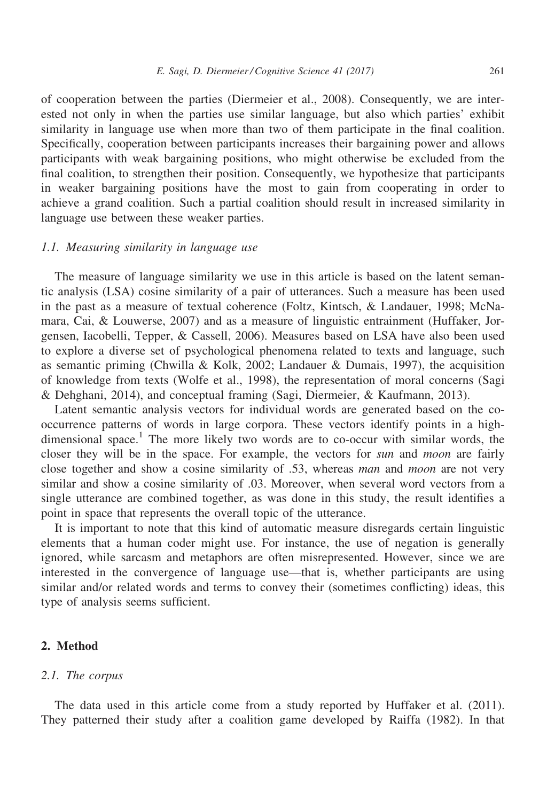of cooperation between the parties (Diermeier et al., 2008). Consequently, we are interested not only in when the parties use similar language, but also which parties' exhibit similarity in language use when more than two of them participate in the final coalition. Specifically, cooperation between participants increases their bargaining power and allows participants with weak bargaining positions, who might otherwise be excluded from the final coalition, to strengthen their position. Consequently, we hypothesize that participants in weaker bargaining positions have the most to gain from cooperating in order to achieve a grand coalition. Such a partial coalition should result in increased similarity in language use between these weaker parties.

#### 1.1. Measuring similarity in language use

The measure of language similarity we use in this article is based on the latent semantic analysis (LSA) cosine similarity of a pair of utterances. Such a measure has been used in the past as a measure of textual coherence (Foltz, Kintsch, & Landauer, 1998; McNamara, Cai, & Louwerse, 2007) and as a measure of linguistic entrainment (Huffaker, Jorgensen, Iacobelli, Tepper, & Cassell, 2006). Measures based on LSA have also been used to explore a diverse set of psychological phenomena related to texts and language, such as semantic priming (Chwilla & Kolk, 2002; Landauer & Dumais, 1997), the acquisition of knowledge from texts (Wolfe et al., 1998), the representation of moral concerns (Sagi & Dehghani, 2014), and conceptual framing (Sagi, Diermeier, & Kaufmann, 2013).

Latent semantic analysis vectors for individual words are generated based on the cooccurrence patterns of words in large corpora. These vectors identify points in a highdimensional space.<sup>1</sup> The more likely two words are to co-occur with similar words, the closer they will be in the space. For example, the vectors for *sun* and *moon* are fairly close together and show a cosine similarity of .53, whereas man and moon are not very similar and show a cosine similarity of .03. Moreover, when several word vectors from a single utterance are combined together, as was done in this study, the result identifies a point in space that represents the overall topic of the utterance.

It is important to note that this kind of automatic measure disregards certain linguistic elements that a human coder might use. For instance, the use of negation is generally ignored, while sarcasm and metaphors are often misrepresented. However, since we are interested in the convergence of language use—that is, whether participants are using similar and/or related words and terms to convey their (sometimes conflicting) ideas, this type of analysis seems sufficient.

#### 2. Method

#### 2.1. The corpus

The data used in this article come from a study reported by Huffaker et al. (2011). They patterned their study after a coalition game developed by Raiffa (1982). In that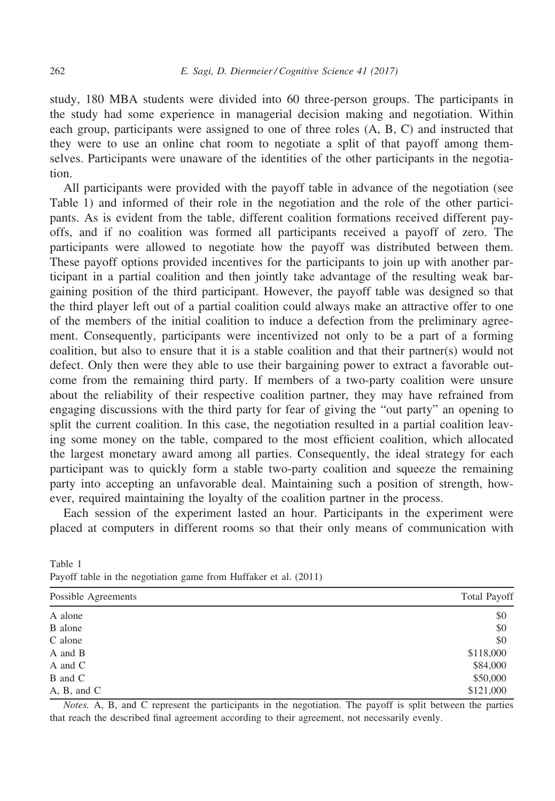study, 180 MBA students were divided into 60 three-person groups. The participants in the study had some experience in managerial decision making and negotiation. Within each group, participants were assigned to one of three roles (A, B, C) and instructed that they were to use an online chat room to negotiate a split of that payoff among themselves. Participants were unaware of the identities of the other participants in the negotiation.

All participants were provided with the payoff table in advance of the negotiation (see Table 1) and informed of their role in the negotiation and the role of the other participants. As is evident from the table, different coalition formations received different payoffs, and if no coalition was formed all participants received a payoff of zero. The participants were allowed to negotiate how the payoff was distributed between them. These payoff options provided incentives for the participants to join up with another participant in a partial coalition and then jointly take advantage of the resulting weak bargaining position of the third participant. However, the payoff table was designed so that the third player left out of a partial coalition could always make an attractive offer to one of the members of the initial coalition to induce a defection from the preliminary agreement. Consequently, participants were incentivized not only to be a part of a forming coalition, but also to ensure that it is a stable coalition and that their partner(s) would not defect. Only then were they able to use their bargaining power to extract a favorable outcome from the remaining third party. If members of a two-party coalition were unsure about the reliability of their respective coalition partner, they may have refrained from engaging discussions with the third party for fear of giving the "out party" an opening to split the current coalition. In this case, the negotiation resulted in a partial coalition leaving some money on the table, compared to the most efficient coalition, which allocated the largest monetary award among all parties. Consequently, the ideal strategy for each participant was to quickly form a stable two-party coalition and squeeze the remaining party into accepting an unfavorable deal. Maintaining such a position of strength, however, required maintaining the loyalty of the coalition partner in the process.

Each session of the experiment lasted an hour. Participants in the experiment were placed at computers in different rooms so that their only means of communication with

| Possible Agreements | <b>Total Payoff</b> |
|---------------------|---------------------|
| A alone             | \$0                 |
| B alone             | \$0                 |
| C alone             | \$0                 |
| A and B             | \$118,000           |
| A and C             | \$84,000            |
| B and C             | \$50,000            |
| A, B, and C         | \$121,000           |
|                     |                     |

Table 1 Payoff table in the negotiation game from Huffaker et al. (2011)

Notes. A, B, and C represent the participants in the negotiation. The payoff is split between the parties that reach the described final agreement according to their agreement, not necessarily evenly.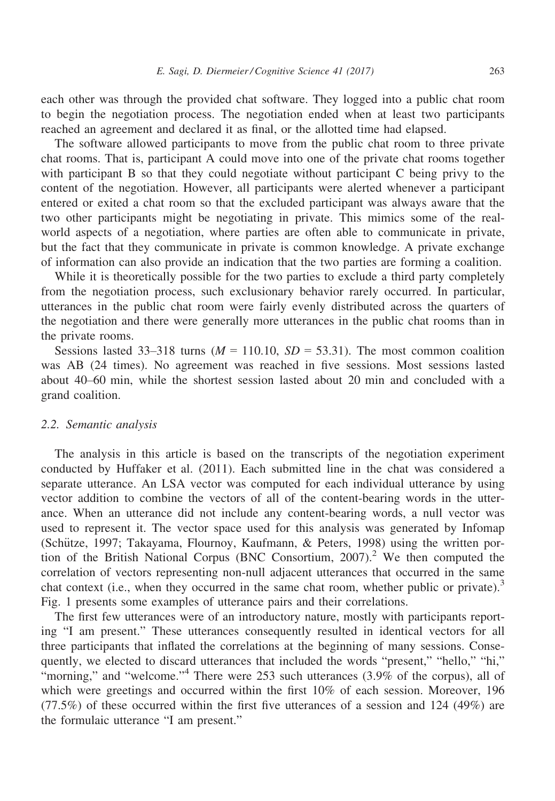each other was through the provided chat software. They logged into a public chat room to begin the negotiation process. The negotiation ended when at least two participants reached an agreement and declared it as final, or the allotted time had elapsed.

The software allowed participants to move from the public chat room to three private chat rooms. That is, participant A could move into one of the private chat rooms together with participant B so that they could negotiate without participant C being privy to the content of the negotiation. However, all participants were alerted whenever a participant entered or exited a chat room so that the excluded participant was always aware that the two other participants might be negotiating in private. This mimics some of the realworld aspects of a negotiation, where parties are often able to communicate in private, but the fact that they communicate in private is common knowledge. A private exchange of information can also provide an indication that the two parties are forming a coalition.

While it is theoretically possible for the two parties to exclude a third party completely from the negotiation process, such exclusionary behavior rarely occurred. In particular, utterances in the public chat room were fairly evenly distributed across the quarters of the negotiation and there were generally more utterances in the public chat rooms than in the private rooms.

Sessions lasted 33–318 turns ( $M = 110.10$ ,  $SD = 53.31$ ). The most common coalition was AB (24 times). No agreement was reached in five sessions. Most sessions lasted about 40–60 min, while the shortest session lasted about 20 min and concluded with a grand coalition.

#### 2.2. Semantic analysis

The analysis in this article is based on the transcripts of the negotiation experiment conducted by Huffaker et al. (2011). Each submitted line in the chat was considered a separate utterance. An LSA vector was computed for each individual utterance by using vector addition to combine the vectors of all of the content-bearing words in the utterance. When an utterance did not include any content-bearing words, a null vector was used to represent it. The vector space used for this analysis was generated by Infomap (Schütze, 1997; Takayama, Flournoy, Kaufmann, & Peters, 1998) using the written portion of the British National Corpus (BNC Consortium, 2007).<sup>2</sup> We then computed the correlation of vectors representing non-null adjacent utterances that occurred in the same chat context (i.e., when they occurred in the same chat room, whether public or private).<sup>3</sup> Fig. 1 presents some examples of utterance pairs and their correlations.

The first few utterances were of an introductory nature, mostly with participants reporting "I am present." These utterances consequently resulted in identical vectors for all three participants that inflated the correlations at the beginning of many sessions. Consequently, we elected to discard utterances that included the words "present," "hello," "hi," "morning," and "welcome."<sup>4</sup> There were 253 such utterances (3.9% of the corpus), all of which were greetings and occurred within the first 10% of each session. Moreover, 196 (77.5%) of these occurred within the first five utterances of a session and 124 (49%) are the formulaic utterance "I am present."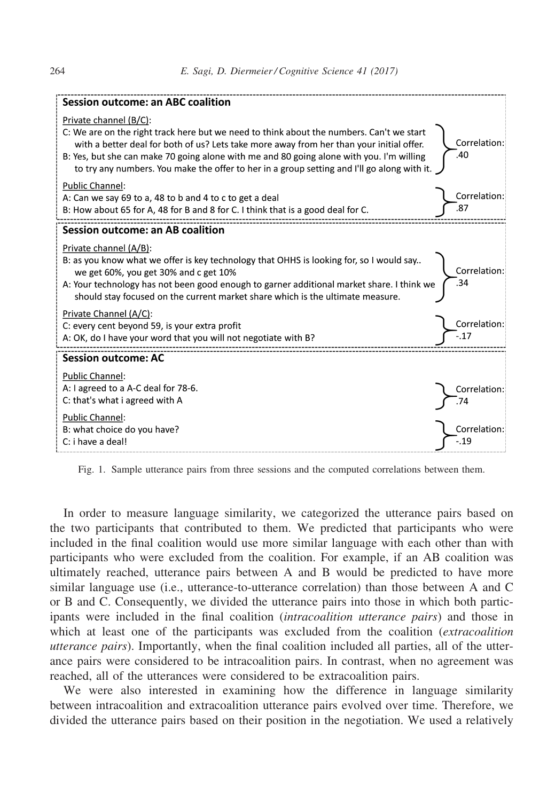| <b>Session outcome: an ABC coalition</b>                                                                                                                                                                                                                                                                                                                                                                  |                       |
|-----------------------------------------------------------------------------------------------------------------------------------------------------------------------------------------------------------------------------------------------------------------------------------------------------------------------------------------------------------------------------------------------------------|-----------------------|
| Private channel (B/C):<br>C: We are on the right track here but we need to think about the numbers. Can't we start<br>with a better deal for both of us? Lets take more away from her than your initial offer.<br>B: Yes, but she can make 70 going alone with me and 80 going alone with you. I'm willing<br>to try any numbers. You make the offer to her in a group setting and I'll go along with it. | Correlation:<br>.40   |
| <b>Public Channel:</b><br>A: Can we say 69 to a, 48 to b and 4 to c to get a deal<br>B: How about 65 for A, 48 for B and 8 for C. I think that is a good deal for C.                                                                                                                                                                                                                                      | Correlation:<br>.87   |
| <b>Session outcome: an AB coalition</b>                                                                                                                                                                                                                                                                                                                                                                   |                       |
| Private channel (A/B):<br>B: as you know what we offer is key technology that OHHS is looking for, so I would say<br>we get 60%, you get 30% and c get 10%<br>A: Your technology has not been good enough to garner additional market share. I think we<br>should stay focused on the current market share which is the ultimate measure.                                                                 | Correlation:<br>34    |
| Private Channel (A/C):<br>C: every cent beyond 59, is your extra profit<br>A: OK, do I have your word that you will not negotiate with B?                                                                                                                                                                                                                                                                 | Correlation:<br>$-17$ |
| <b>Session outcome: AC</b>                                                                                                                                                                                                                                                                                                                                                                                |                       |
| <b>Public Channel:</b><br>A: I agreed to a A-C deal for 78-6.<br>C: that's what i agreed with A                                                                                                                                                                                                                                                                                                           | Correlation:          |
| <b>Public Channel:</b><br>B: what choice do you have?<br>C: i have a deal!                                                                                                                                                                                                                                                                                                                                | Correlation:<br>$-19$ |

Fig. 1. Sample utterance pairs from three sessions and the computed correlations between them.

In order to measure language similarity, we categorized the utterance pairs based on the two participants that contributed to them. We predicted that participants who were included in the final coalition would use more similar language with each other than with participants who were excluded from the coalition. For example, if an AB coalition was ultimately reached, utterance pairs between A and B would be predicted to have more similar language use (i.e., utterance-to-utterance correlation) than those between A and C or B and C. Consequently, we divided the utterance pairs into those in which both participants were included in the final coalition *(intracoalition utterance pairs)* and those in which at least one of the participants was excluded from the coalition (*extracoalition* utterance pairs). Importantly, when the final coalition included all parties, all of the utterance pairs were considered to be intracoalition pairs. In contrast, when no agreement was reached, all of the utterances were considered to be extracoalition pairs.

We were also interested in examining how the difference in language similarity between intracoalition and extracoalition utterance pairs evolved over time. Therefore, we divided the utterance pairs based on their position in the negotiation. We used a relatively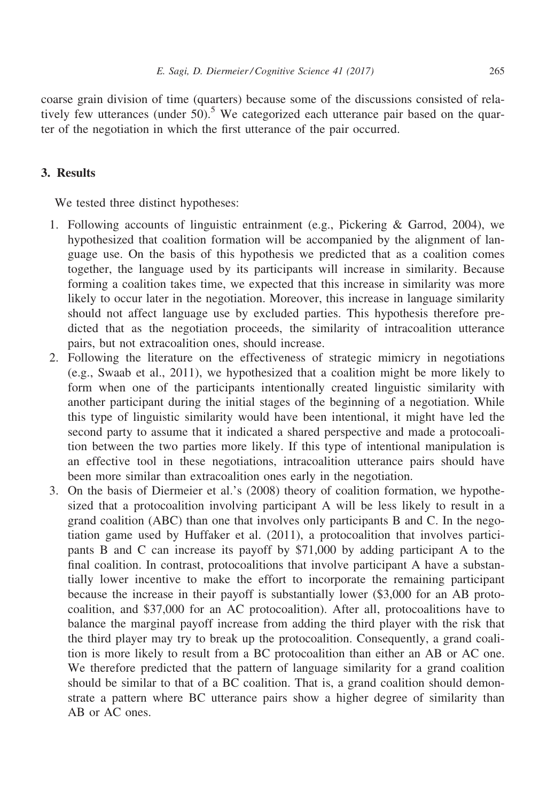coarse grain division of time (quarters) because some of the discussions consisted of relatively few utterances (under  $50$ ).<sup>5</sup> We categorized each utterance pair based on the quarter of the negotiation in which the first utterance of the pair occurred.

## 3. Results

We tested three distinct hypotheses:

- 1. Following accounts of linguistic entrainment (e.g., Pickering & Garrod, 2004), we hypothesized that coalition formation will be accompanied by the alignment of language use. On the basis of this hypothesis we predicted that as a coalition comes together, the language used by its participants will increase in similarity. Because forming a coalition takes time, we expected that this increase in similarity was more likely to occur later in the negotiation. Moreover, this increase in language similarity should not affect language use by excluded parties. This hypothesis therefore predicted that as the negotiation proceeds, the similarity of intracoalition utterance pairs, but not extracoalition ones, should increase.
- 2. Following the literature on the effectiveness of strategic mimicry in negotiations (e.g., Swaab et al., 2011), we hypothesized that a coalition might be more likely to form when one of the participants intentionally created linguistic similarity with another participant during the initial stages of the beginning of a negotiation. While this type of linguistic similarity would have been intentional, it might have led the second party to assume that it indicated a shared perspective and made a protocoalition between the two parties more likely. If this type of intentional manipulation is an effective tool in these negotiations, intracoalition utterance pairs should have been more similar than extracoalition ones early in the negotiation.
- 3. On the basis of Diermeier et al.'s (2008) theory of coalition formation, we hypothesized that a protocoalition involving participant A will be less likely to result in a grand coalition (ABC) than one that involves only participants B and C. In the negotiation game used by Huffaker et al. (2011), a protocoalition that involves participants B and C can increase its payoff by \$71,000 by adding participant A to the final coalition. In contrast, protocoalitions that involve participant A have a substantially lower incentive to make the effort to incorporate the remaining participant because the increase in their payoff is substantially lower (\$3,000 for an AB protocoalition, and \$37,000 for an AC protocoalition). After all, protocoalitions have to balance the marginal payoff increase from adding the third player with the risk that the third player may try to break up the protocoalition. Consequently, a grand coalition is more likely to result from a BC protocoalition than either an AB or AC one. We therefore predicted that the pattern of language similarity for a grand coalition should be similar to that of a BC coalition. That is, a grand coalition should demonstrate a pattern where BC utterance pairs show a higher degree of similarity than AB or AC ones.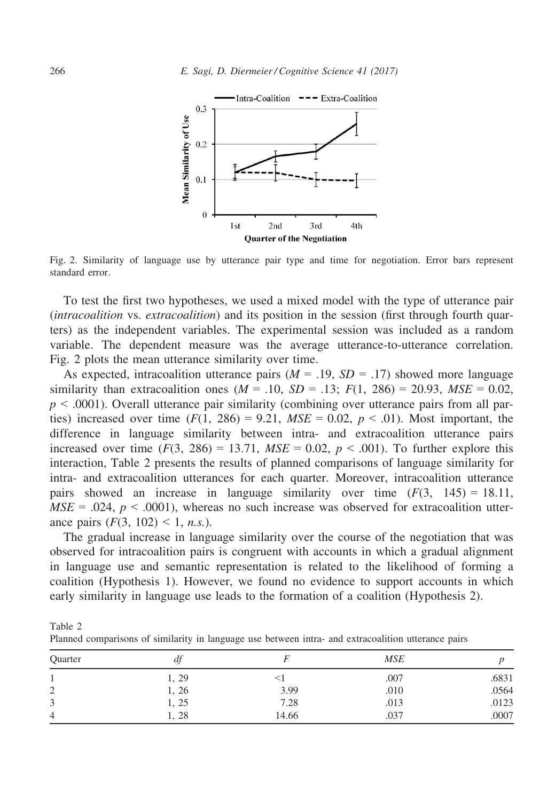

Fig. 2. Similarity of language use by utterance pair type and time for negotiation. Error bars represent standard error.

To test the first two hypotheses, we used a mixed model with the type of utterance pair (intracoalition vs. extracoalition) and its position in the session (first through fourth quarters) as the independent variables. The experimental session was included as a random variable. The dependent measure was the average utterance-to-utterance correlation. Fig. 2 plots the mean utterance similarity over time.

As expected, intracoalition utterance pairs  $(M = .19, SD = .17)$  showed more language similarity than extracoalition ones ( $M = .10$ ,  $SD = .13$ ;  $F(1, 286) = 20.93$ ,  $MSE = 0.02$ ,  $p \leq 0.0001$ ). Overall utterance pair similarity (combining over utterance pairs from all parties) increased over time  $(F(1, 286) = 9.21, MSE = 0.02, p < .01)$ . Most important, the difference in language similarity between intra- and extracoalition utterance pairs increased over time  $(F(3, 286) = 13.71, MSE = 0.02, p < .001)$ . To further explore this interaction, Table 2 presents the results of planned comparisons of language similarity for intra- and extracoalition utterances for each quarter. Moreover, intracoalition utterance pairs showed an increase in language similarity over time  $(F(3, 145) = 18.11$ ,  $MSE = .024$ ,  $p < .0001$ ), whereas no such increase was observed for extracoalition utterance pairs  $(F(3, 102) < 1, n.s.).$ 

The gradual increase in language similarity over the course of the negotiation that was observed for intracoalition pairs is congruent with accounts in which a gradual alignment in language use and semantic representation is related to the likelihood of forming a coalition (Hypothesis 1). However, we found no evidence to support accounts in which early similarity in language use leads to the formation of a coalition (Hypothesis 2).

| Table 2                                                                                             |  |
|-----------------------------------------------------------------------------------------------------|--|
| Planned comparisons of similarity in language use between intra- and extracoalition utterance pairs |  |

| Quarter        | a     |       | <b>MSE</b> |       |
|----------------|-------|-------|------------|-------|
|                | 1, 29 |       | .007       | .6831 |
| $\bigcap$<br>∠ | 4, 26 | 3.99  | .010       | .0564 |
| 3              | 1, 25 | 7.28  | .013       | .0123 |
| 4              | 1, 28 | 14.66 | .037       | .0007 |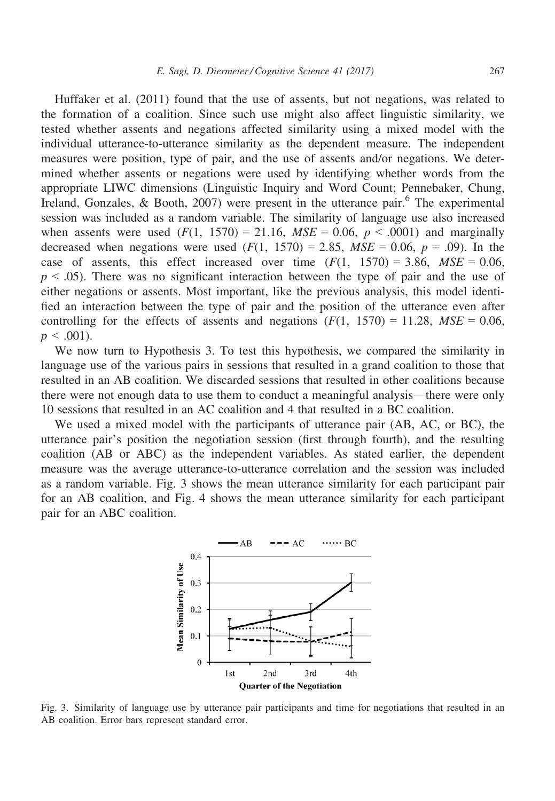Huffaker et al. (2011) found that the use of assents, but not negations, was related to the formation of a coalition. Since such use might also affect linguistic similarity, we tested whether assents and negations affected similarity using a mixed model with the individual utterance-to-utterance similarity as the dependent measure. The independent measures were position, type of pair, and the use of assents and/or negations. We determined whether assents or negations were used by identifying whether words from the appropriate LIWC dimensions (Linguistic Inquiry and Word Count; Pennebaker, Chung, Ireland, Gonzales, & Booth, 2007) were present in the utterance pair.<sup>6</sup> The experimental session was included as a random variable. The similarity of language use also increased when assents were used  $(F(1, 1570) = 21.16, MSE = 0.06, p < .0001)$  and marginally decreased when negations were used  $(F(1, 1570) = 2.85, MSE = 0.06, p = .09)$ . In the case of assents, this effect increased over time  $(F(1, 1570) = 3.86, MSE = 0.06$ ,  $p \leq 0.05$ ). There was no significant interaction between the type of pair and the use of either negations or assents. Most important, like the previous analysis, this model identified an interaction between the type of pair and the position of the utterance even after controlling for the effects of assents and negations  $(F(1, 1570) = 11.28, MSE = 0.06,$  $p < .001$ ).

We now turn to Hypothesis 3. To test this hypothesis, we compared the similarity in language use of the various pairs in sessions that resulted in a grand coalition to those that resulted in an AB coalition. We discarded sessions that resulted in other coalitions because there were not enough data to use them to conduct a meaningful analysis—there were only 10 sessions that resulted in an AC coalition and 4 that resulted in a BC coalition.

We used a mixed model with the participants of utterance pair (AB, AC, or BC), the utterance pair's position the negotiation session (first through fourth), and the resulting coalition (AB or ABC) as the independent variables. As stated earlier, the dependent measure was the average utterance-to-utterance correlation and the session was included as a random variable. Fig. 3 shows the mean utterance similarity for each participant pair for an AB coalition, and Fig. 4 shows the mean utterance similarity for each participant pair for an ABC coalition.



Fig. 3. Similarity of language use by utterance pair participants and time for negotiations that resulted in an AB coalition. Error bars represent standard error.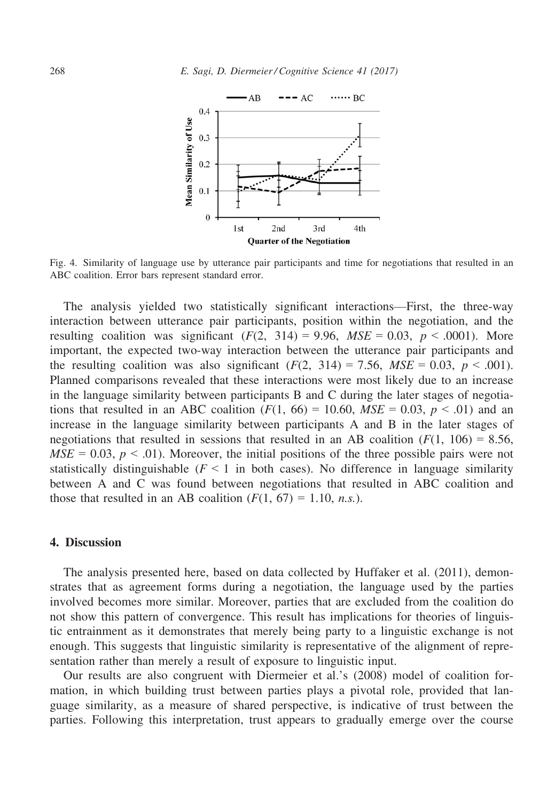

Fig. 4. Similarity of language use by utterance pair participants and time for negotiations that resulted in an ABC coalition. Error bars represent standard error.

The analysis yielded two statistically significant interactions—First, the three-way interaction between utterance pair participants, position within the negotiation, and the resulting coalition was significant  $(F(2, 314) = 9.96, MSE = 0.03, p < .0001)$ . More important, the expected two-way interaction between the utterance pair participants and the resulting coalition was also significant  $(F(2, 314) = 7.56$ ,  $MSE = 0.03$ ,  $p < .001$ ). Planned comparisons revealed that these interactions were most likely due to an increase in the language similarity between participants B and C during the later stages of negotiations that resulted in an ABC coalition  $(F(1, 66) = 10.60, MSE = 0.03, p < .01)$  and an increase in the language similarity between participants A and B in the later stages of negotiations that resulted in sessions that resulted in an AB coalition  $(F(1, 106) = 8.56,$  $MSE = 0.03$ ,  $p < .01$ ). Moreover, the initial positions of the three possible pairs were not statistically distinguishable ( $F \le 1$  in both cases). No difference in language similarity between A and C was found between negotiations that resulted in ABC coalition and those that resulted in an AB coalition  $(F(1, 67) = 1.10, n.s.).$ 

## 4. Discussion

The analysis presented here, based on data collected by Huffaker et al. (2011), demonstrates that as agreement forms during a negotiation, the language used by the parties involved becomes more similar. Moreover, parties that are excluded from the coalition do not show this pattern of convergence. This result has implications for theories of linguistic entrainment as it demonstrates that merely being party to a linguistic exchange is not enough. This suggests that linguistic similarity is representative of the alignment of representation rather than merely a result of exposure to linguistic input.

Our results are also congruent with Diermeier et al.'s (2008) model of coalition formation, in which building trust between parties plays a pivotal role, provided that language similarity, as a measure of shared perspective, is indicative of trust between the parties. Following this interpretation, trust appears to gradually emerge over the course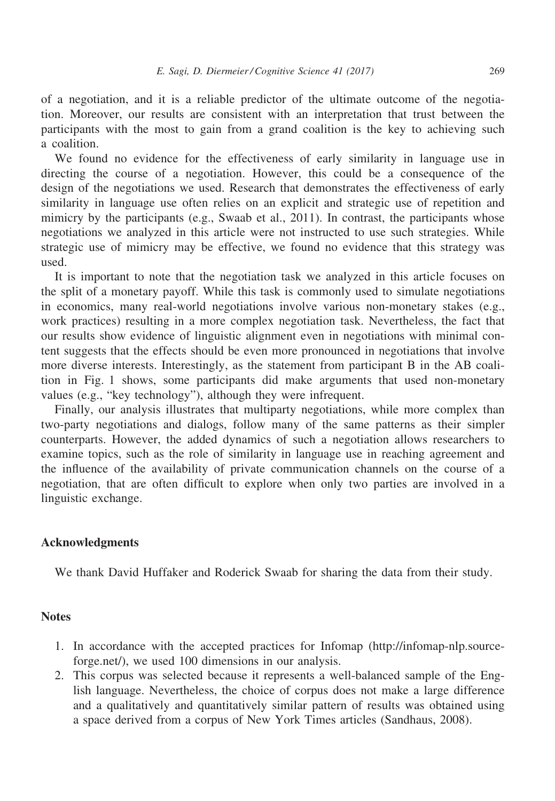of a negotiation, and it is a reliable predictor of the ultimate outcome of the negotiation. Moreover, our results are consistent with an interpretation that trust between the participants with the most to gain from a grand coalition is the key to achieving such a coalition.

We found no evidence for the effectiveness of early similarity in language use in directing the course of a negotiation. However, this could be a consequence of the design of the negotiations we used. Research that demonstrates the effectiveness of early similarity in language use often relies on an explicit and strategic use of repetition and mimicry by the participants (e.g., Swaab et al., 2011). In contrast, the participants whose negotiations we analyzed in this article were not instructed to use such strategies. While strategic use of mimicry may be effective, we found no evidence that this strategy was used.

It is important to note that the negotiation task we analyzed in this article focuses on the split of a monetary payoff. While this task is commonly used to simulate negotiations in economics, many real-world negotiations involve various non-monetary stakes (e.g., work practices) resulting in a more complex negotiation task. Nevertheless, the fact that our results show evidence of linguistic alignment even in negotiations with minimal content suggests that the effects should be even more pronounced in negotiations that involve more diverse interests. Interestingly, as the statement from participant B in the AB coalition in Fig. 1 shows, some participants did make arguments that used non-monetary values (e.g., "key technology"), although they were infrequent.

Finally, our analysis illustrates that multiparty negotiations, while more complex than two-party negotiations and dialogs, follow many of the same patterns as their simpler counterparts. However, the added dynamics of such a negotiation allows researchers to examine topics, such as the role of similarity in language use in reaching agreement and the influence of the availability of private communication channels on the course of a negotiation, that are often difficult to explore when only two parties are involved in a linguistic exchange.

## Acknowledgments

We thank David Huffaker and Roderick Swaab for sharing the data from their study.

## **Notes**

- 1. In accordance with the accepted practices for Infomap ([http://infomap-nlp.source](http://infomap-nlp.sourceforge.net/)[forge.net/\)](http://infomap-nlp.sourceforge.net/), we used 100 dimensions in our analysis.
- 2. This corpus was selected because it represents a well-balanced sample of the English language. Nevertheless, the choice of corpus does not make a large difference and a qualitatively and quantitatively similar pattern of results was obtained using a space derived from a corpus of New York Times articles (Sandhaus, 2008).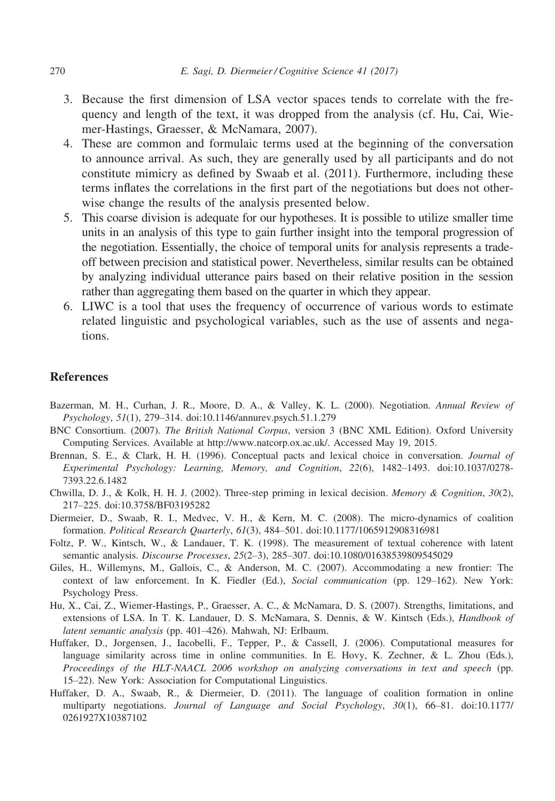- 3. Because the first dimension of LSA vector spaces tends to correlate with the frequency and length of the text, it was dropped from the analysis (cf. Hu, Cai, Wiemer-Hastings, Graesser, & McNamara, 2007).
- 4. These are common and formulaic terms used at the beginning of the conversation to announce arrival. As such, they are generally used by all participants and do not constitute mimicry as defined by Swaab et al. (2011). Furthermore, including these terms inflates the correlations in the first part of the negotiations but does not otherwise change the results of the analysis presented below.
- 5. This coarse division is adequate for our hypotheses. It is possible to utilize smaller time units in an analysis of this type to gain further insight into the temporal progression of the negotiation. Essentially, the choice of temporal units for analysis represents a tradeoff between precision and statistical power. Nevertheless, similar results can be obtained by analyzing individual utterance pairs based on their relative position in the session rather than aggregating them based on the quarter in which they appear.
- 6. LIWC is a tool that uses the frequency of occurrence of various words to estimate related linguistic and psychological variables, such as the use of assents and negations.

#### **References**

- Bazerman, M. H., Curhan, J. R., Moore, D. A., & Valley, K. L. (2000). Negotiation. Annual Review of Psychology, 51(1), 279–314. doi[:10.1146/annurev.psych.51.1.279](http://dx.doi.org/10.1146/annurev.psych.51.1.279)
- BNC Consortium. (2007). The British National Corpus, version 3 (BNC XML Edition). Oxford University Computing Services. Available at<http://www.natcorp.ox.ac.uk/>. Accessed May 19, 2015.
- Brennan, S. E., & Clark, H. H. (1996). Conceptual pacts and lexical choice in conversation. Journal of Experimental Psychology: Learning, Memory, and Cognition, 22(6), 1482–1493. doi[:10.1037/0278-](http://dx.doi.org/10.1037/0278-7393.22.6.1482) [7393.22.6.1482](http://dx.doi.org/10.1037/0278-7393.22.6.1482)
- Chwilla, D. J., & Kolk, H. H. J. (2002). Three-step priming in lexical decision. Memory & Cognition,  $30(2)$ , 217–225. doi:[10.3758/BF03195282](http://dx.doi.org/10.3758/BF03195282)
- Diermeier, D., Swaab, R. I., Medvec, V. H., & Kern, M. C. (2008). The micro-dynamics of coalition formation. Political Research Quarterly, 61(3), 484–501. doi[:10.1177/1065912908316981](http://dx.doi.org/10.1177/1065912908316981)
- Foltz, P. W., Kintsch, W., & Landauer, T. K. (1998). The measurement of textual coherence with latent semantic analysis. Discourse Processes, 25(2–3), 285–307. doi:[10.1080/01638539809545029](http://dx.doi.org/10.1080/01638539809545029)
- Giles, H., Willemyns, M., Gallois, C., & Anderson, M. C. (2007). Accommodating a new frontier: The context of law enforcement. In K. Fiedler (Ed.), Social communication (pp. 129–162). New York: Psychology Press.
- Hu, X., Cai, Z., Wiemer-Hastings, P., Graesser, A. C., & McNamara, D. S. (2007). Strengths, limitations, and extensions of LSA. In T. K. Landauer, D. S. McNamara, S. Dennis, & W. Kintsch (Eds.), *Handbook of* latent semantic analysis (pp. 401–426). Mahwah, NJ: Erlbaum.
- Huffaker, D., Jorgensen, J., Iacobelli, F., Tepper, P., & Cassell, J. (2006). Computational measures for language similarity across time in online communities. In E. Hovy, K. Zechner, & L. Zhou (Eds.), Proceedings of the HLT-NAACL 2006 workshop on analyzing conversations in text and speech (pp. 15–22). New York: Association for Computational Linguistics.
- Huffaker, D. A., Swaab, R., & Diermeier, D. (2011). The language of coalition formation in online multiparty negotiations. Journal of Language and Social Psychology, 30(1), 66–81. doi[:10.1177/](http://dx.doi.org/10.1177/0261927X10387102) [0261927X10387102](http://dx.doi.org/10.1177/0261927X10387102)